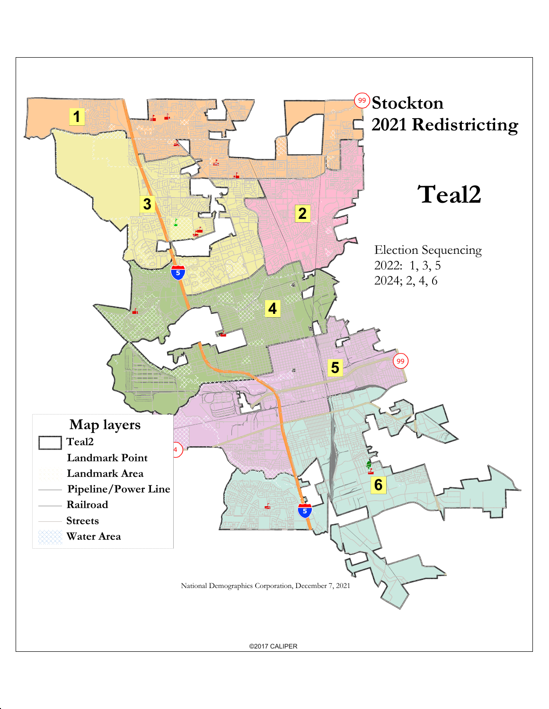